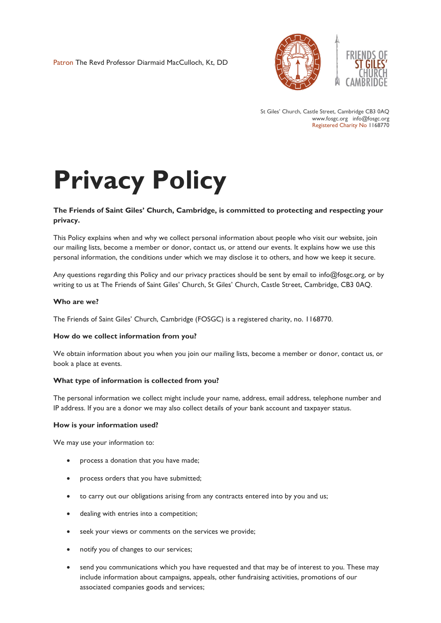Patron The Revd Professor Diarmaid MacCulloch, Kt, DD



St Giles' Church, Castle Street, Cambridge CB3 0AQ www.fosgc.org info@fosgc.org Registered Charity No 1168770

# **Privacy Policy**

# **The Friends of Saint Giles' Church, Cambridge, is committed to protecting and respecting your privacy.**

This Policy explains when and why we collect personal information about people who visit our website, join our mailing lists, become a member or donor, contact us, or attend our events. It explains how we use this personal information, the conditions under which we may disclose it to others, and how we keep it secure.

Any questions regarding this Policy and our privacy practices should be sent by email to info@fosgc.org, or by writing to us at The Friends of Saint Giles' Church, St Giles' Church, Castle Street, Cambridge, CB3 0AQ.

#### **Who are we?**

The Friends of Saint Giles' Church, Cambridge (FOSGC) is a registered charity, no. 1168770.

#### **How do we collect information from you?**

We obtain information about you when you join our mailing lists, become a member or donor, contact us, or book a place at events.

#### **What type of information is collected from you?**

The personal information we collect might include your name, address, email address, telephone number and IP address. If you are a donor we may also collect details of your bank account and taxpayer status.

#### **How is your information used?**

We may use your information to:

- process a donation that you have made;
- process orders that you have submitted;
- to carry out our obligations arising from any contracts entered into by you and us;
- dealing with entries into a competition;
- seek your views or comments on the services we provide;
- notify you of changes to our services;
- send you communications which you have requested and that may be of interest to you. These may include information about campaigns, appeals, other fundraising activities, promotions of our associated companies goods and services;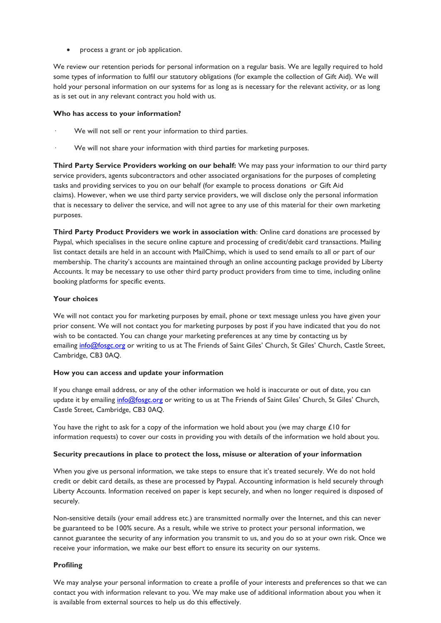process a grant or job application.

We review our retention periods for personal information on a regular basis. We are legally required to hold some types of information to fulfil our statutory obligations (for example the collection of Gift Aid). We will hold your personal information on our systems for as long as is necessary for the relevant activity, or as long as is set out in any relevant contract you hold with us.

# **Who has access to your information?**

- We will not sell or rent your information to third parties.
- We will not share your information with third parties for marketing purposes.

**Third Party Service Providers working on our behalf:** We may pass your information to our third party service providers, agents subcontractors and other associated organisations for the purposes of completing tasks and providing services to you on our behalf (for example to process donations or Gift Aid claims). However, when we use third party service providers, we will disclose only the personal information that is necessary to deliver the service, and will not agree to any use of this material for their own marketing purposes.

**Third Party Product Providers we work in association with**: Online card donations are processed by Paypal, which specialises in the secure online capture and processing of credit/debit card transactions. Mailing list contact details are held in an account with MailChimp, which is used to send emails to all or part of our membership. The charity's accounts are maintained through an online accounting package provided by Liberty Accounts. It may be necessary to use other third party product providers from time to time, including online booking platforms for specific events.

# **Your choices**

We will not contact you for marketing purposes by email, phone or text message unless you have given your prior consent. We will not contact you for marketing purposes by post if you have indicated that you do not wish to be contacted. You can change your marketing preferences at any time by contacting us by emailing [info@fosgc.org](mailto:info@fosgc.org) or writing to us at The Friends of Saint Giles' Church, St Giles' Church, Castle Street, Cambridge, CB3 0AQ.

#### **How you can access and update your information**

If you change email address, or any of the other information we hold is inaccurate or out of date, you can update it by emailing [info@fosgc.org](mailto:info@fosgc.org) or writing to us at The Friends of Saint Giles' Church, St Giles' Church, Castle Street, Cambridge, CB3 0AQ.

You have the right to ask for a copy of the information we hold about you (we may charge £10 for information requests) to cover our costs in providing you with details of the information we hold about you.

# **Security precautions in place to protect the loss, misuse or alteration of your information**

When you give us personal information, we take steps to ensure that it's treated securely. We do not hold credit or debit card details, as these are processed by Paypal. Accounting information is held securely through Liberty Accounts. Information received on paper is kept securely, and when no longer required is disposed of securely.

Non-sensitive details (your email address etc.) are transmitted normally over the Internet, and this can never be guaranteed to be 100% secure. As a result, while we strive to protect your personal information, we cannot guarantee the security of any information you transmit to us, and you do so at your own risk. Once we receive your information, we make our best effort to ensure its security on our systems.

# **Profiling**

We may analyse your personal information to create a profile of your interests and preferences so that we can contact you with information relevant to you. We may make use of additional information about you when it is available from external sources to help us do this effectively.